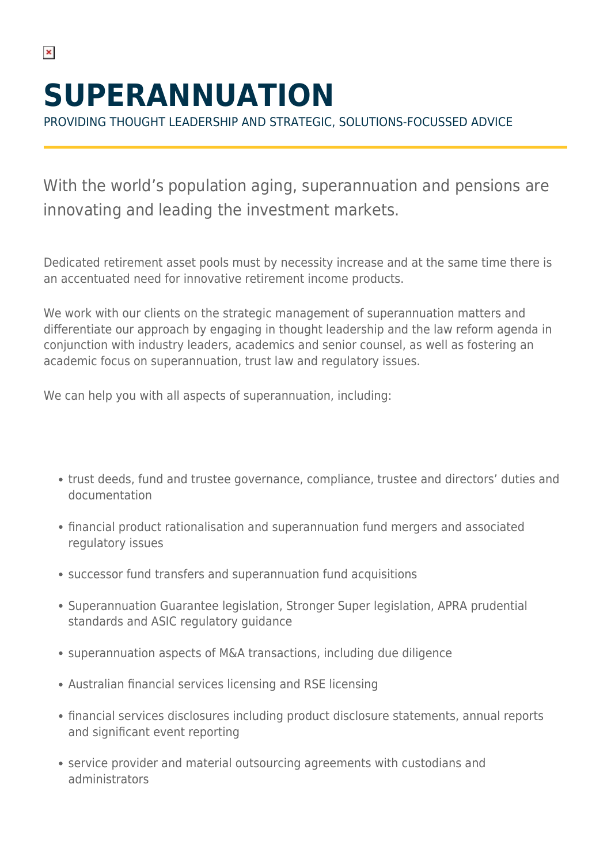# **SUPERANNUATION**

PROVIDING THOUGHT LEADERSHIP AND STRATEGIC, SOLUTIONS-FOCUSSED ADVICE

With the world's population aging, superannuation and pensions are innovating and leading the investment markets.

Dedicated retirement asset pools must by necessity increase and at the same time there is an accentuated need for innovative retirement income products.

We work with our clients on the strategic management of superannuation matters and differentiate our approach by engaging in thought leadership and the law reform agenda in conjunction with industry leaders, academics and senior counsel, as well as fostering an academic focus on superannuation, trust law and regulatory issues.

We can help you with all aspects of superannuation, including:

- trust deeds, fund and trustee governance, compliance, trustee and directors' duties and documentation
- financial product rationalisation and superannuation fund mergers and associated regulatory issues
- successor fund transfers and superannuation fund acquisitions
- Superannuation Guarantee legislation, Stronger Super legislation, APRA prudential standards and ASIC regulatory guidance
- superannuation aspects of M&A transactions, including due diligence
- Australian financial services licensing and RSE licensing
- financial services disclosures including product disclosure statements, annual reports and significant event reporting
- service provider and material outsourcing agreements with custodians and administrators

 $\pmb{\times}$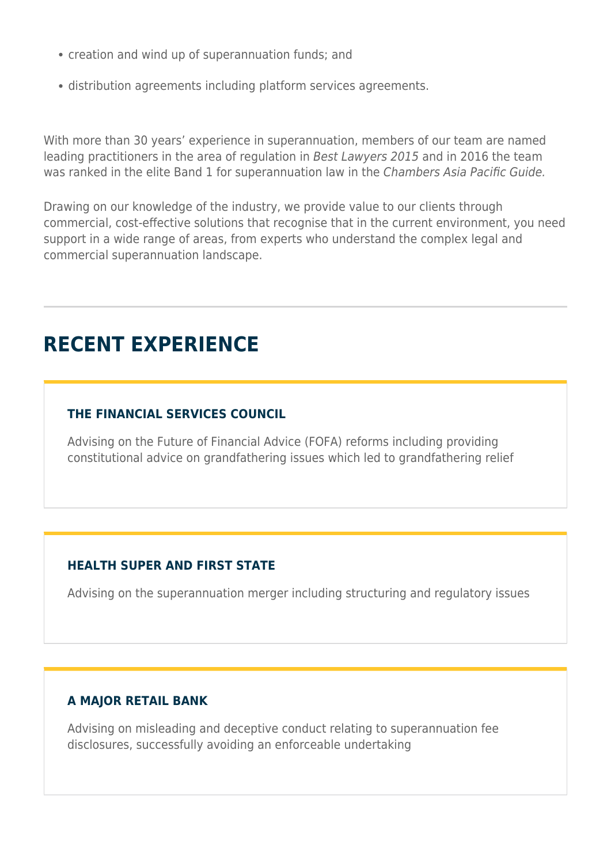- creation and wind up of superannuation funds; and
- distribution agreements including platform services agreements.

With more than 30 years' experience in superannuation, members of our team are named leading practitioners in the area of regulation in Best Lawyers 2015 and in 2016 the team was ranked in the elite Band 1 for superannuation law in the Chambers Asia Pacific Guide.

Drawing on our knowledge of the industry, we provide value to our clients through commercial, cost-effective solutions that recognise that in the current environment, you need support in a wide range of areas, from experts who understand the complex legal and commercial superannuation landscape.

## **RECENT EXPERIENCE**

#### **THE FINANCIAL SERVICES COUNCIL**

Advising on the Future of Financial Advice (FOFA) reforms including providing constitutional advice on grandfathering issues which led to grandfathering relief

#### **HEALTH SUPER AND FIRST STATE**

Advising on the superannuation merger including structuring and regulatory issues

#### **A MAJOR RETAIL BANK**

Advising on misleading and deceptive conduct relating to superannuation fee disclosures, successfully avoiding an enforceable undertaking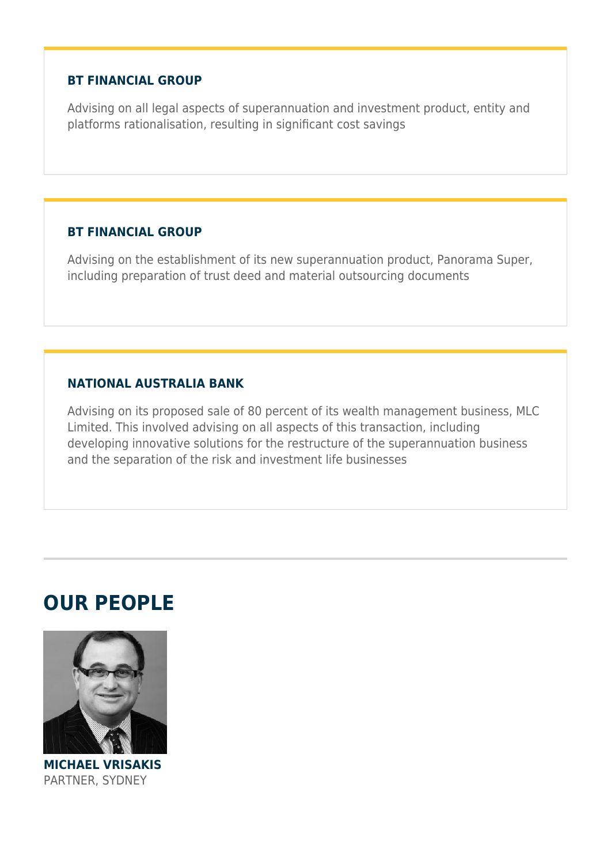#### **BT FINANCIAL GROUP**

Advising on all legal aspects of superannuation and investment product, entity and platforms rationalisation, resulting in significant cost savings

#### **BT FINANCIAL GROUP**

Advising on the establishment of its new superannuation product, Panorama Super, including preparation of trust deed and material outsourcing documents

#### **NATIONAL AUSTRALIA BANK**

Advising on its proposed sale of 80 percent of its wealth management business, MLC Limited. This involved advising on all aspects of this transaction, including developing innovative solutions for the restructure of the superannuation business and the separation of the risk and investment life businesses

### **OUR PEOPLE**



**MICHAEL VRISAKIS** PARTNER, SYDNEY